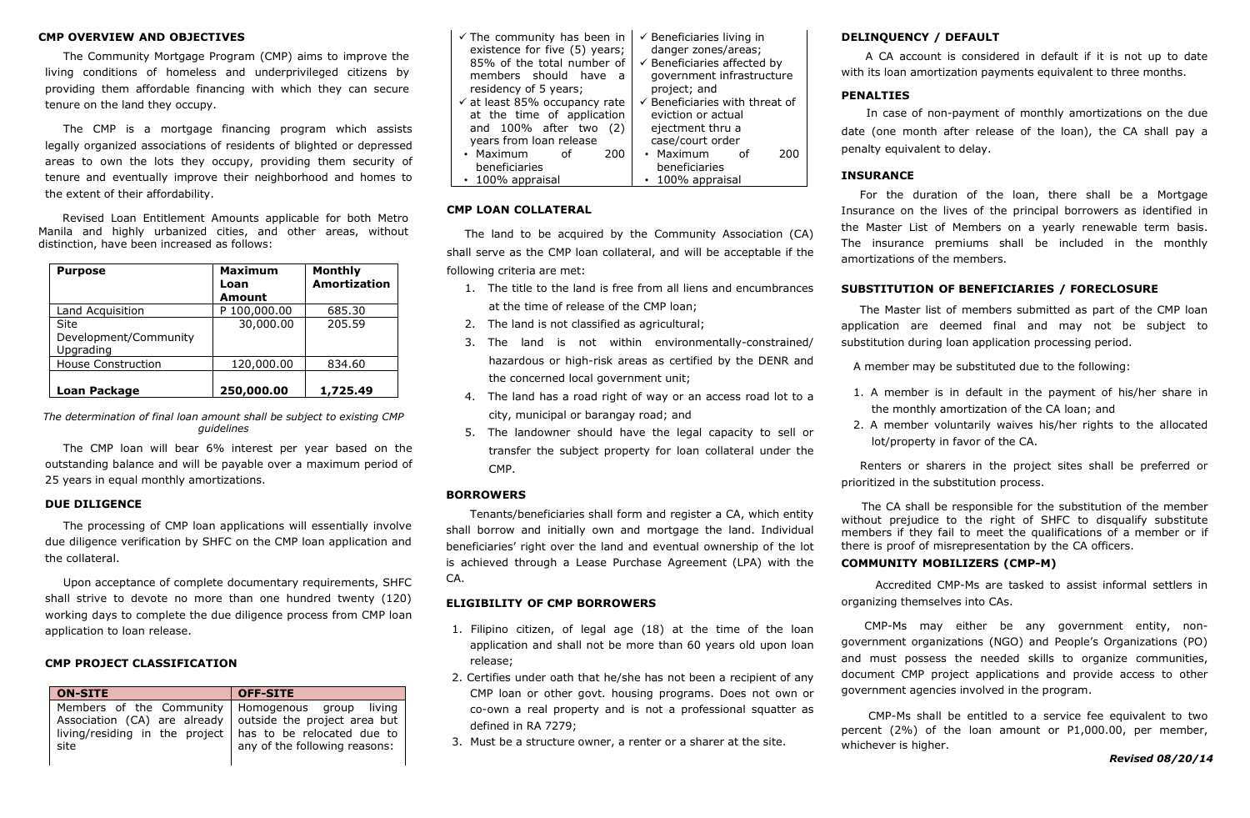## **CMP OVERVIEW AND OBJECTIVES**

The Community Mortgage Program (CMP) aims to improve the living conditions of homeless and underprivileged citizens by providing them affordable financing with which they can secure tenure on the land they occupy.

The CMP is a mortgage financing program which assists legally organized associations of residents of blighted or depressed areas to own the lots they occupy, providing them security of tenure and eventually improve their neighborhood and homes to the extent of their affordability.

Revised Loan Entitlement Amounts applicable for both Metro Manila and highly urbanized cities, and other areas, without distinction, have been increased as follows:

| <b>Purpose</b>                             | <b>Maximum</b><br>Loan<br><b>Amount</b> | Monthly<br>Amortization |
|--------------------------------------------|-----------------------------------------|-------------------------|
| Land Acquisition                           | P 100,000.00                            | 685.30                  |
| Site<br>Development/Community<br>Upgrading | 30,000.00                               | 205.59                  |
| <b>House Construction</b>                  | 120,000.00                              | 834.60                  |
| Loan Package                               | 250,000.00                              | 1,725.49                |

*The determination of final loan amount shall be subject to existing CMP guidelines*

The CMP loan will bear 6% interest per year based on the outstanding balance and will be payable over a maximum period of 25 years in equal monthly amortizations.

#### **DUE DILIGENCE**

The processing of CMP loan applications will essentially involve due diligence verification by SHFC on the CMP loan application and the collateral.

Upon acceptance of complete documentary requirements, SHFC shall strive to devote no more than one hundred twenty (120) working days to complete the due diligence process from CMP loan application to loan release.

#### **CMP PROJECT CLASSIFICATION**

| <b>ON-SITE</b>                                                                                                                                                                         | <b>OFF-SITE</b>               |
|----------------------------------------------------------------------------------------------------------------------------------------------------------------------------------------|-------------------------------|
| Members of the Community   Homogenous group living<br>Association (CA) are already outside the project area but<br>living/residing in the project   has to be relocated due to<br>site | any of the following reasons: |

| $\checkmark$ The community has been in   | $\checkmark$ Beneficiaries living in      |
|------------------------------------------|-------------------------------------------|
| existence for five (5) years;            | danger zones/areas;                       |
| 85% of the total number of               | $\checkmark$ Beneficiaries affected by    |
| members should have<br>- a               | government infrastructure                 |
| residency of 5 years;                    | project; and                              |
| $\checkmark$ at least 85% occupancy rate | $\checkmark$ Beneficiaries with threat of |
| at the time of application               | eviction or actual                        |
| and $100\%$ after two $(2)$              | ejectment thru a                          |
| years from loan release                  | case/court order                          |
| • Maximum<br>200<br>0f                   | • Maximum<br>200<br>റf                    |
| beneficiaries                            | beneficiaries                             |
| $\cdot$ 100% appraisal                   | $\cdot$ 100% appraisal                    |

## **CMP LOAN COLLATERAL**

The land to be acquired by the Community Association (CA) shall serve as the CMP loan collateral, and will be acceptable if the following criteria are met:

- 1. The title to the land is free from all liens and encumbrances at the time of release of the CMP loan;
- 2. The land is not classified as agricultural;
- 3. The land is not within environmentally-constrained/ hazardous or high-risk areas as certified by the DENR and the concerned local government unit;
- 4. The land has a road right of way or an access road lot to a city, municipal or barangay road; and
- 5. The landowner should have the legal capacity to sell or transfer the subject property for loan collateral under the CMP.

## **BORROWERS**

Tenants/beneficiaries shall form and register a CA, which entity shall borrow and initially own and mortgage the land. Individual beneficiaries' right over the land and eventual ownership of the lot is achieved through a Lease Purchase Agreement (LPA) with the CA.

### **ELIGIBILITY OF CMP BORROWERS**

- 1. Filipino citizen, of legal age (18) at the time of the loan application and shall not be more than 60 years old upon loan release;
- 2. Certifies under oath that he/she has not been a recipient of any CMP loan or other govt. housing programs. Does not own or co-own a real property and is not a professional squatter as defined in RA 7279;
- 3. Must be a structure owner, a renter or a sharer at the site.

## **DELINQUENCY / DEFAULT**

A CA account is considered in default if it is not up to date with its loan amortization payments equivalent to three months.

#### **PENALTIES**

In case of non-payment of monthly amortizations on the due date (one month after release of the loan), the CA shall pay a penalty equivalent to delay.

## **INSURANCE**

 For the duration of the loan, there shall be a Mortgage Insurance on the lives of the principal borrowers as identified in the Master List of Members on a yearly renewable term basis. The insurance premiums shall be included in the monthly amortizations of the members.

### **SUBSTITUTION OF BENEFICIARIES / FORECLOSURE**

The Master list of members submitted as part of the CMP loan application are deemed final and may not be subject to substitution during loan application processing period.

A member may be substituted due to the following:

- 1. A member is in default in the payment of his/her share in the monthly amortization of the CA loan; and
- 2. A member voluntarily waives his/her rights to the allocated lot/property in favor of the CA.

 Renters or sharers in the project sites shall be preferred or prioritized in the substitution process.

 The CA shall be responsible for the substitution of the member without prejudice to the right of SHFC to disqualify substitute members if they fail to meet the qualifications of a member or if there is proof of misrepresentation by the CA officers.

## **COMMUNITY MOBILIZERS (CMP-M)**

Accredited CMP-Ms are tasked to assist informal settlers in organizing themselves into CAs.

 CMP-Ms may either be any government entity, nongovernment organizations (NGO) and People's Organizations (PO) and must possess the needed skills to organize communities, document CMP project applications and provide access to other government agencies involved in the program.

 CMP-Ms shall be entitled to a service fee equivalent to two percent (2%) of the loan amount or P1,000.00, per member, whichever is higher.